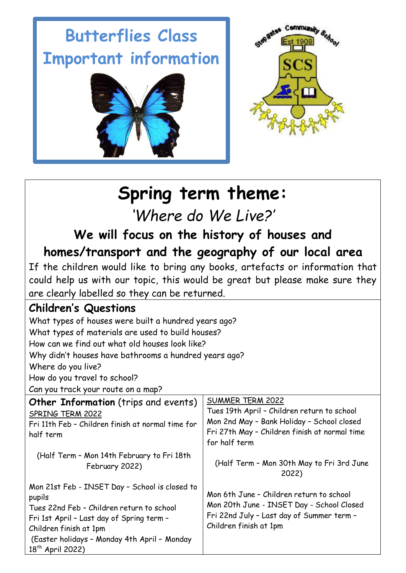# **Butterflies Class Important information**





## **Spring term theme:**

*'Where do We Live?'*

**We will focus on the history of houses and homes/transport and the geography of our local area**

If the children would like to bring any books, artefacts or information that could help us with our topic, this would be great but please make sure they are clearly labelled so they can be returned.

### **Children's Questions**

| What types of houses were built a hundred years ago?                                                                                                                                                                                                         |                                                                                                                                                                                        |  |  |
|--------------------------------------------------------------------------------------------------------------------------------------------------------------------------------------------------------------------------------------------------------------|----------------------------------------------------------------------------------------------------------------------------------------------------------------------------------------|--|--|
| What types of materials are used to build houses?                                                                                                                                                                                                            |                                                                                                                                                                                        |  |  |
| How can we find out what old houses look like?<br>Why didn't houses have bathrooms a hundred years ago?                                                                                                                                                      |                                                                                                                                                                                        |  |  |
|                                                                                                                                                                                                                                                              |                                                                                                                                                                                        |  |  |
| How do you travel to school?                                                                                                                                                                                                                                 |                                                                                                                                                                                        |  |  |
| Can you track your route on a map?                                                                                                                                                                                                                           |                                                                                                                                                                                        |  |  |
| <b>Other Information</b> (trips and events)<br>SPRING TERM 2022<br>Fri 11th Feb - Children finish at normal time for<br>half term                                                                                                                            | <b>SUMMER TERM 2022</b><br>Tues 19th April - Children return to school<br>Mon 2nd May - Bank Holiday - School closed<br>Fri 27th May - Children finish at normal time<br>for half term |  |  |
| (Half Term - Mon 14th February to Fri 18th<br>February 2022)                                                                                                                                                                                                 | (Half Term - Mon 30th May to Fri 3rd June<br>2022)                                                                                                                                     |  |  |
| Mon 21st Feb - INSET Day - School is closed to<br>pupils<br>Tues 22nd Feb - Children return to school<br>Fri 1st April - Last day of Spring term -<br>Children finish at 1pm<br>(Easter holidays - Monday 4th April - Monday<br>18 <sup>th</sup> April 2022) | Mon 6th June - Children return to school<br>Mon 20th June - INSET Day - School Closed<br>Fri 22nd July - Last day of Summer term -<br>Children finish at 1pm                           |  |  |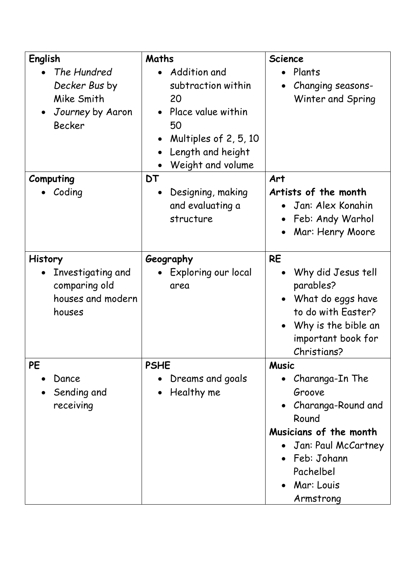| English                                                                                      | Maths                                                                                                                                   | <b>Science</b>                                                                                                                                                   |
|----------------------------------------------------------------------------------------------|-----------------------------------------------------------------------------------------------------------------------------------------|------------------------------------------------------------------------------------------------------------------------------------------------------------------|
| The Hundred<br>Decker Bus by<br>Mike Smith<br>Journey by Aaron<br>$\bullet$<br><b>Becker</b> | Addition and<br>subtraction within<br>20<br>Place value within<br>50<br>Multiples of 2, 5, 10<br>Length and height<br>Weight and volume | Plants<br>Changing seasons-<br>Winter and Spring                                                                                                                 |
| Computing                                                                                    | DT                                                                                                                                      | Art                                                                                                                                                              |
| Coding                                                                                       | Designing, making<br>$\bullet$<br>and evaluating a<br>structure                                                                         | Artists of the month<br>Jan: Alex Konahin<br>Feb: Andy Warhol<br>Mar: Henry Moore                                                                                |
| <b>History</b>                                                                               | Geography                                                                                                                               | <b>RE</b>                                                                                                                                                        |
| Investigating and<br>comparing old<br>houses and modern<br>houses                            | Exploring our local<br>area                                                                                                             | Why did Jesus tell<br>parables?<br>What do eggs have<br>to do with Easter?<br>Why is the bible an<br>important book for<br>Christians?                           |
| <b>PE</b>                                                                                    | <b>PSHE</b>                                                                                                                             | <b>Music</b>                                                                                                                                                     |
| Dance<br>Sending and<br>receiving                                                            | Dreams and goals<br>Healthy me<br>$\bullet$                                                                                             | Charanga-In The<br>Groove<br>Charanga-Round and<br>Round<br>Musicians of the month<br>Jan: Paul McCartney<br>Feb: Johann<br>Pachelbel<br>Mar: Louis<br>Armstrong |